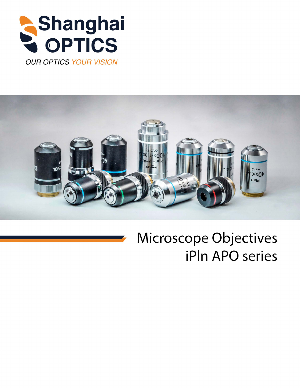





## **Microscope Objectives iPIn APO series**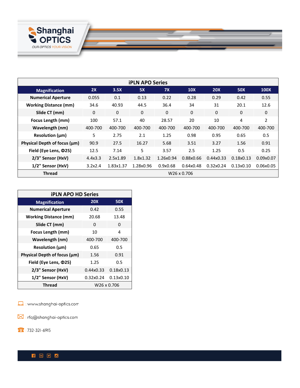

| <b>iPLN APO Series</b>            |             |           |           |           |              |            |              |                |
|-----------------------------------|-------------|-----------|-----------|-----------|--------------|------------|--------------|----------------|
| <b>Magnification</b>              | 2X          | 3.5X      | 5X        | 7X        | <b>10X</b>   | <b>20X</b> | <b>50X</b>   | <b>100X</b>    |
| <b>Numerical Aperture</b>         | 0.055       | 0.1       | 0.13      | 0.22      | 0.28         | 0.29       | 0.42         | 0.55           |
| <b>Working Distance (mm)</b>      | 34.6        | 40.93     | 44.5      | 36.4      | 34           | 31         | 20.1         | 12.6           |
| Slide CT (mm)                     | $\Omega$    | 0         | 0         | $\Omega$  | $\mathbf{0}$ | $\Omega$   | $\mathbf{0}$ | 0              |
| Focus Length (mm)                 | 100         | 57.1      | 40        | 28.57     | 20           | 10         | 4            | $\overline{2}$ |
| Wavelength (nm)                   | 400-700     | 400-700   | 400-700   | 400-700   | 400-700      | 400-700    | 400-700      | 400-700        |
| Resolution $(\mu m)$              | 5           | 2.75      | 2.1       | 1.25      | 0.98         | 0.95       | 0.65         | 0.5            |
| Physical Depth of focus $(\mu m)$ | 90.9        | 27.5      | 16.27     | 5.68      | 3.51         | 3.27       | 1.56         | 0.91           |
| Field (Eye Lens, $\Phi$ 25)       | 12.5        | 7.14      | 5         | 3.57      | 2.5          | 1.25       | 0.5          | 0.25           |
| 2/3" Sensor (HxV)                 | 4.4x3.3     | 2.5x1.89  | 1.8x1.32  | 1.26x0.94 | 0.88x0.66    | 0.44x0.33  | 0.18x0.13    | 0.09x0.07      |
| 1/2" Sensor (HxV)                 | 3.2x2.4     | 1.83x1.37 | 1.28x0.96 | 0.9x0.68  | 0.64x0.48    | 0.32x0.24  | 0.13x0.10    | 0.06x0.05      |
| <b>Thread</b>                     | W26 x 0.706 |           |           |           |              |            |              |                |

| <b>iPLN APO HD Series</b>    |            |           |  |  |
|------------------------------|------------|-----------|--|--|
| <b>Magnification</b>         | <b>20X</b> | 50X       |  |  |
| <b>Numerical Aperture</b>    | 0.42       | 0.55      |  |  |
| <b>Working Distance (mm)</b> | 20.68      | 13.48     |  |  |
| Slide CT (mm)                | 0          | 0         |  |  |
| Focus Length (mm)            | 10         | 4         |  |  |
| Wavelength (nm)              | 400-700    | 400-700   |  |  |
| Resolution (µm)              | 0.65       | 0.5       |  |  |
| Physical Depth of focus (µm) | 1.56       | 0.91      |  |  |
| Field (Eye Lens, $\Phi$ 25)  | 1.25       | 0.5       |  |  |
| 2/3" Sensor (HxV)            | 0.44x0.33  | 0.18x0.13 |  |  |
| 1/2" Sensor (HxV)            | 0.32x0.24  | 0.13x0.10 |  |  |
| Thread<br>W26 x 0.706        |            |           |  |  |

www.shanghai-optics.com

 $\boxtimes$  : rfq@shanghai-optics.com

 $\odot$ : 732-321-6915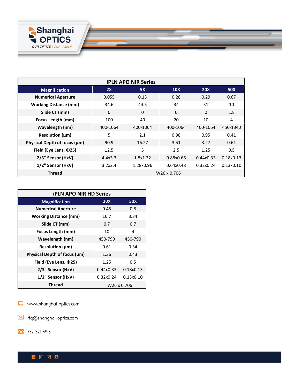

| <b>iPLN APO NIR Series</b>   |             |           |            |            |            |  |
|------------------------------|-------------|-----------|------------|------------|------------|--|
| <b>Magnification</b>         | 2X          | <b>5X</b> | <b>10X</b> | <b>20X</b> | <b>50X</b> |  |
| <b>Numerical Aperture</b>    | 0.055       | 0.13      | 0.28       | 0.29       | 0.67       |  |
| <b>Working Distance (mm)</b> | 34.6        | 44.5      | 34         | 31         | 10         |  |
| Slide CT (mm)                | 0           | 0         | $\Omega$   | $\Omega$   | 1.8        |  |
| Focus Length (mm)            | 100         | 40        | 20         | 10         | 4          |  |
| Wavelength (nm)              | 400-1064    | 400-1064  | 400-1064   | 400-1064   | 450-1340   |  |
| Resolution $(\mu m)$         | 5           | 2.1       | 0.98       | 0.95       | 0.41       |  |
| Physical Depth of focus (µm) | 90.9        | 16.27     | 3.51       | 3.27       | 0.61       |  |
| Field (Eye Lens, $\Phi$ 25)  | 12.5        | 5         | 2.5        | 1.25       | 0.5        |  |
| 2/3" Sensor (HxV)            | 4.4x3.3     | 1.8x1.32  | 0.88x0.66  | 0.44x0.33  | 0.18x0.13  |  |
| 1/2" Sensor (HxV)            | 3.2x2.4     | 1.28x0.96 | 0.64x0.48  | 0.32x0.24  | 0.13x0.10  |  |
| Thread                       | W26 x 0.706 |           |            |            |            |  |

<u> a shekara ta 1999 a shekara ta 1999 a shekara ta 1999 a shekara ta 1999 a shekara ta 1999 a shekara ta 1999 a </u>

| <b><i>iPLN APO NIR HD Series</i></b> |            |            |  |  |
|--------------------------------------|------------|------------|--|--|
| <b>Magnification</b>                 | <b>20X</b> | <b>50X</b> |  |  |
| <b>Numerical Aperture</b>            | 0.45       | 0.8        |  |  |
| <b>Working Distance (mm)</b>         | 16.7       | 3.34       |  |  |
| Slide CT (mm)                        | 0.7        | 0.7        |  |  |
| Focus Length (mm)                    | 10         | 4          |  |  |
| Wavelength (nm)                      | 450-790    | 450-790    |  |  |
| Resolution $(\mu m)$                 | 0.61       | 0.34       |  |  |
| Physical Depth of focus (µm)         | 1.36       | 0.43       |  |  |
| Field (Eye Lens, $\Phi$ 25)          | 1.25       | 0.5        |  |  |
| 2/3" Sensor (HxV)                    | 0.44x0.33  | 0.18x0.13  |  |  |
| 1/2" Sensor (HxV)                    | 0.32x0.24  | 0.13x0.10  |  |  |
| <b>Thread</b><br>W26 x 0.706         |            |            |  |  |

www.shanghai-optics.com

 $\boxtimes$  : rfq@shanghai-optics.com

 $\bullet$ : 732-321-6915